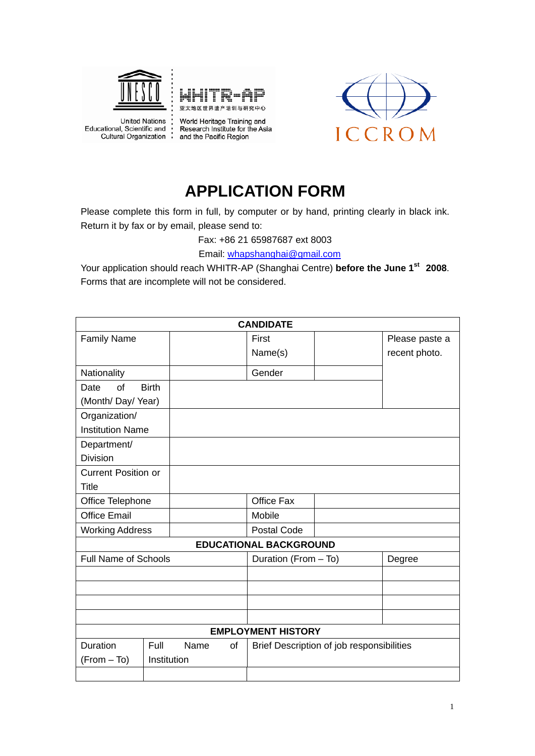





**United Nations** | United Nations<br>| cational, Scientific and<br>| Cultural Organization Educational, Scientific and

World Heritage Training and Research Institute for the Asia and the Pacific Region

## **APPLICATION FORM**

Please complete this form in full, by computer or by hand, printing clearly in black ink. Return it by fax or by email, please send to:

Fax: +86 21 65987687 ext 8003

Email: [whapshanghai@gmail.com](mailto:whapshanghai@gmail.com)

Your application should reach WHITR-AP (Shanghai Centre) **before the June 1st 2008**. Forms that are incomplete will not be considered.

|                             |              |      |                      | <b>CANDIDATE</b>                          |        |                |
|-----------------------------|--------------|------|----------------------|-------------------------------------------|--------|----------------|
| <b>Family Name</b>          |              |      |                      | First                                     |        | Please paste a |
|                             |              |      |                      | Name(s)                                   |        | recent photo.  |
| Nationality                 |              |      |                      | Gender                                    |        |                |
| Date<br>of                  | <b>Birth</b> |      |                      |                                           |        |                |
| (Month/ Day/ Year)          |              |      |                      |                                           |        |                |
| Organization/               |              |      |                      |                                           |        |                |
| <b>Institution Name</b>     |              |      |                      |                                           |        |                |
| Department/                 |              |      |                      |                                           |        |                |
| <b>Division</b>             |              |      |                      |                                           |        |                |
| <b>Current Position or</b>  |              |      |                      |                                           |        |                |
| <b>Title</b>                |              |      |                      |                                           |        |                |
| Office Telephone            |              |      |                      | Office Fax                                |        |                |
| <b>Office Email</b>         |              |      |                      | Mobile                                    |        |                |
| <b>Working Address</b>      |              |      |                      | <b>Postal Code</b>                        |        |                |
|                             |              |      |                      | <b>EDUCATIONAL BACKGROUND</b>             |        |                |
| <b>Full Name of Schools</b> |              |      | Duration (From - To) |                                           | Degree |                |
|                             |              |      |                      |                                           |        |                |
|                             |              |      |                      |                                           |        |                |
|                             |              |      |                      |                                           |        |                |
|                             |              |      |                      |                                           |        |                |
|                             |              |      |                      | <b>EMPLOYMENT HISTORY</b>                 |        |                |
| Duration                    | Full         | Name | of                   | Brief Description of job responsibilities |        |                |
| (From - To)                 | Institution  |      |                      |                                           |        |                |
|                             |              |      |                      |                                           |        |                |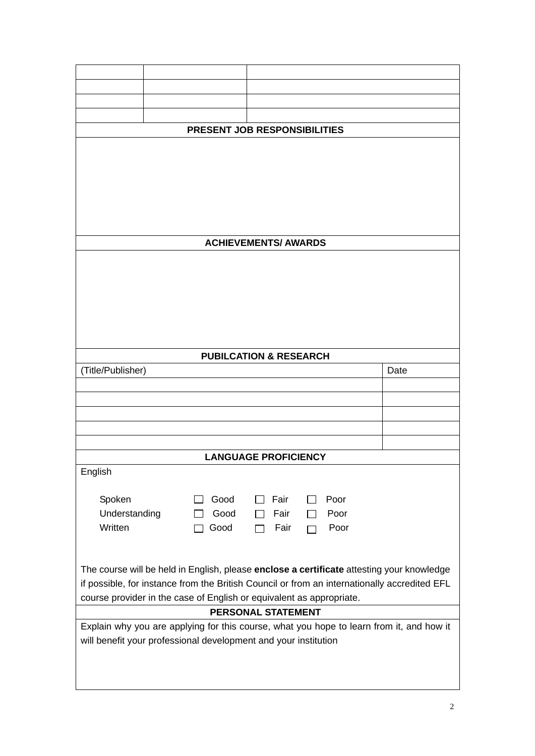|                                                                                              |      | PRESENT JOB RESPONSIBILITIES                                                              |      |  |
|----------------------------------------------------------------------------------------------|------|-------------------------------------------------------------------------------------------|------|--|
|                                                                                              |      |                                                                                           |      |  |
|                                                                                              |      |                                                                                           |      |  |
|                                                                                              |      |                                                                                           |      |  |
|                                                                                              |      |                                                                                           |      |  |
|                                                                                              |      |                                                                                           |      |  |
|                                                                                              |      |                                                                                           |      |  |
|                                                                                              |      |                                                                                           |      |  |
|                                                                                              |      | <b>ACHIEVEMENTS/ AWARDS</b>                                                               |      |  |
|                                                                                              |      |                                                                                           |      |  |
|                                                                                              |      |                                                                                           |      |  |
|                                                                                              |      |                                                                                           |      |  |
|                                                                                              |      |                                                                                           |      |  |
|                                                                                              |      |                                                                                           |      |  |
|                                                                                              |      |                                                                                           |      |  |
|                                                                                              |      |                                                                                           |      |  |
|                                                                                              |      | <b>PUBILCATION &amp; RESEARCH</b>                                                         |      |  |
| (Title/Publisher)                                                                            |      |                                                                                           | Date |  |
|                                                                                              |      |                                                                                           |      |  |
|                                                                                              |      |                                                                                           |      |  |
|                                                                                              |      |                                                                                           |      |  |
|                                                                                              |      |                                                                                           |      |  |
|                                                                                              |      |                                                                                           |      |  |
|                                                                                              |      |                                                                                           |      |  |
|                                                                                              |      | <b>LANGUAGE PROFICIENCY</b>                                                               |      |  |
| English                                                                                      |      |                                                                                           |      |  |
|                                                                                              |      |                                                                                           |      |  |
| Spoken                                                                                       | Good | Fair<br>Poor                                                                              |      |  |
| Understanding                                                                                | Good | Fair<br>Poor                                                                              |      |  |
| Written                                                                                      | Good | Poor<br>Fair                                                                              |      |  |
|                                                                                              |      |                                                                                           |      |  |
|                                                                                              |      |                                                                                           |      |  |
|                                                                                              |      | The course will be held in English, please enclose a certificate attesting your knowledge |      |  |
| if possible, for instance from the British Council or from an internationally accredited EFL |      |                                                                                           |      |  |
| course provider in the case of English or equivalent as appropriate.                         |      |                                                                                           |      |  |
|                                                                                              |      | <b>PERSONAL STATEMENT</b>                                                                 |      |  |
|                                                                                              |      |                                                                                           |      |  |
| Explain why you are applying for this course, what you hope to learn from it, and how it     |      |                                                                                           |      |  |
| will benefit your professional development and your institution                              |      |                                                                                           |      |  |
|                                                                                              |      |                                                                                           |      |  |
|                                                                                              |      |                                                                                           |      |  |
|                                                                                              |      |                                                                                           |      |  |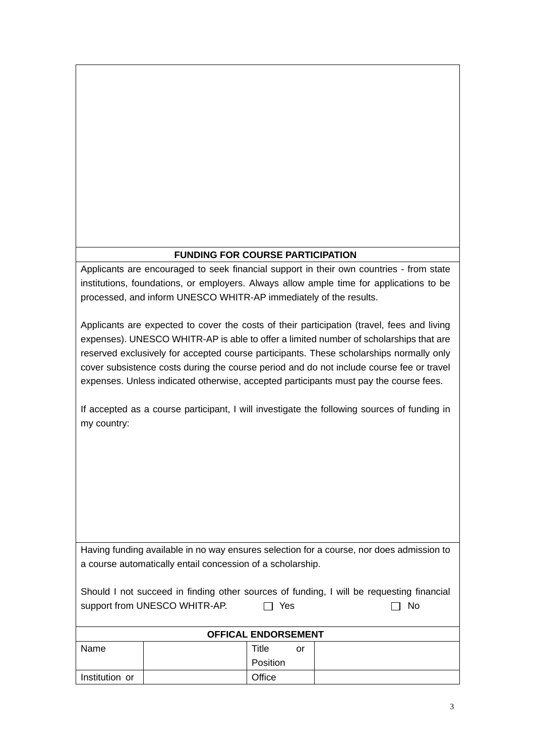## **FUNDING FOR COURSE PARTICIPATION**

Applicants are encouraged to seek financial support in their own countries - from state institutions, foundations, or employers. Always allow ample time for applications to be processed, and inform UNESCO WHITR-AP immediately of the results.

Applicants are expected to cover the costs of their participation (travel, fees and living expenses). UNESCO WHITR-AP is able to offer a limited number of scholarships that are reserved exclusively for accepted course participants. These scholarships normally only cover subsistence costs during the course period and do not include course fee or travel expenses. Unless indicated otherwise, accepted participants must pay the course fees.

If accepted as a course participant, I will investigate the following sources of funding in my country:

Having funding available in no way ensures selection for a course, nor does admission to a course automatically entail concession of a scholarship.

| Should I not succeed in finding other sources of funding, I will be requesting financial |       |      |
|------------------------------------------------------------------------------------------|-------|------|
| support from UNESCO WHITR-AP.                                                            | □ Yes | ⊟ No |
|                                                                                          |       |      |

| <b>OFFICAL ENDORSEMENT</b> |  |          |    |  |
|----------------------------|--|----------|----|--|
| Name                       |  | Title    | or |  |
|                            |  | Position |    |  |
| Institution or             |  | Office   |    |  |